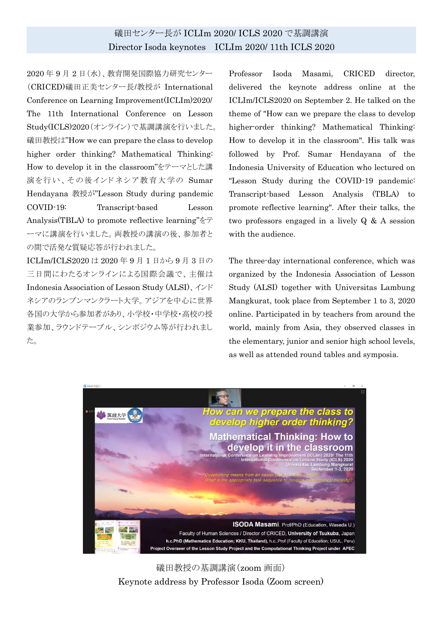## 礒田センター長が ICLIm 2020/ ICLS 2020 で基調講演 Director Isoda keynotes ICLIm 2020/ 11th ICLS 2020

2020 年 9 月 2 日(水)、教育開発国際協力研究センター (CRICED)礒田正美センター長/教授が International Conference on Learning Improvement(ICLIm)2020/ The 11th International Conference on Lesson Study(ICLS)2020(オンライン)で基調講演を行いました。 礒田教授は"How we can prepare the class to develop higher order thinking? Mathematical Thinking: How to develop it in the classroom"をテーマとした講 演を行い、その後インドネシア教育大学の Sumar Hendayana 教授が"Lesson Study during pandemic COVID-19: Transcript-based Lesson Analysis(TBLA) to promote reflective learning"をテ ーマに講演を行いました。両教授の講演の後、参加者と の間で活発な質疑応答が行われました。

ICLIm/ICLS2020 は 2020 年 9 月 1 日から 9 月 3 日の 三日間にわたるオンラインによる国際会議で、主催は Indonesia Association of Lesson Study (ALSI)、インド ネシアのランブンマンクラート大学。アジアを中心に世界 各国の大学から参加者があり、小学校・中学校・高校の授 業参加、ラウンドテーブル、シンポジウム等が行われまし た。

Professor Isoda Masami, CRICED director, delivered the keynote address online at the ICLIm/ICLS2020 on September 2. He talked on the theme of "How can we prepare the class to develop higher-order thinking? Mathematical Thinking: How to develop it in the classroom". His talk was followed by Prof. Sumar Hendayana of the Indonesia University of Education who lectured on "Lesson Study during the COVID-19 pandemic: Transcript-based Lesson Analysis (TBLA) to promote reflective learning". After their talks, the two professors engaged in a lively Q & A session with the audience.

The three-day international conference, which was organized by the Indonesia Association of Lesson Study (ALSI) together with Universitas Lambung Mangkurat, took place from September 1 to 3, 2020 online. Participated in by teachers from around the world, mainly from Asia, they observed classes in the elementary, junior and senior high school levels, as well as attended round tables and symposia.



礒田教授の基調講演(zoom 画面) Keynote address by Professor Isoda (Zoom screen)